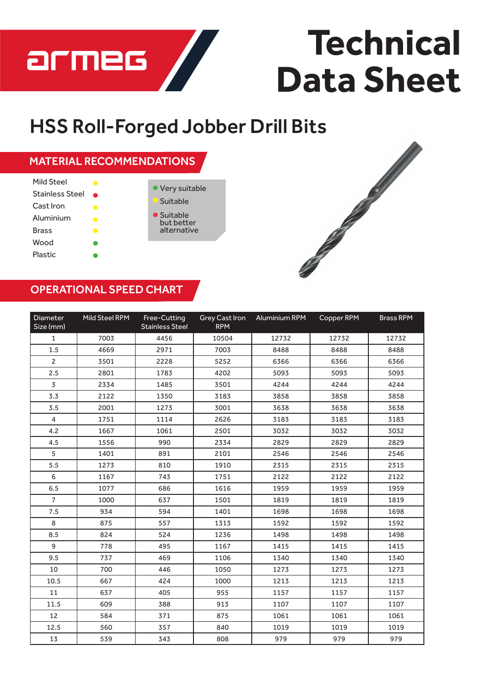

## **Technical Data Sheet**

## HSS Roll-Forged Jobber Drill Bits





## OPERATIONAL SPEED CHART

| Diameter<br>Size (mm) | Mild Steel RPM | Free-Cutting<br><b>Stainless Steel</b> | <b>Grey Cast Iron</b><br><b>RPM</b> | Aluminium RPM | Copper RPM | <b>Brass RPM</b> |
|-----------------------|----------------|----------------------------------------|-------------------------------------|---------------|------------|------------------|
| $\mathbf{1}$          | 7003           | 4456                                   | 10504                               | 12732         | 12732      | 12732            |
| 1.5                   | 4669           | 2971                                   | 7003                                | 8488          | 8488       | 8488             |
| $\overline{2}$        | 3501           | 2228                                   | 5252                                | 6366          | 6366       | 6366             |
| 2.5                   | 2801           | 1783                                   | 4202                                | 5093          | 5093       | 5093             |
| 3                     | 2334           | 1485                                   | 3501                                | 4244          | 4244       | 4244             |
| 3.3                   | 2122           | 1350                                   | 3183                                | 3858          | 3858       | 3858             |
| 3.5                   | 2001           | 1273                                   | 3001                                | 3638          | 3638       | 3638             |
| 4                     | 1751           | 1114                                   | 2626                                | 3183          | 3183       | 3183             |
| 4.2                   | 1667           | 1061                                   | 2501                                | 3032          | 3032       | 3032             |
| 4.5                   | 1556           | 990                                    | 2334                                | 2829          | 2829       | 2829             |
| 5                     | 1401           | 891                                    | 2101                                | 2546          | 2546       | 2546             |
| 5.5                   | 1273           | 810                                    | 1910                                | 2315          | 2315       | 2315             |
| 6                     | 1167           | 743                                    | 1751                                | 2122          | 2122       | 2122             |
| 6.5                   | 1077           | 686                                    | 1616                                | 1959          | 1959       | 1959             |
| $\overline{7}$        | 1000           | 637                                    | 1501                                | 1819          | 1819       | 1819             |
| 7.5                   | 934            | 594                                    | 1401                                | 1698          | 1698       | 1698             |
| 8                     | 875            | 557                                    | 1313                                | 1592          | 1592       | 1592             |
| 8.5                   | 824            | 524                                    | 1236                                | 1498          | 1498       | 1498             |
| 9                     | 778            | 495                                    | 1167                                | 1415          | 1415       | 1415             |
| 9.5                   | 737            | 469                                    | 1106                                | 1340          | 1340       | 1340             |
| 10                    | 700            | 446                                    | 1050                                | 1273          | 1273       | 1273             |
| 10.5                  | 667            | 424                                    | 1000                                | 1213          | 1213       | 1213             |
| 11                    | 637            | 405                                    | 955                                 | 1157          | 1157       | 1157             |
| 11.5                  | 609            | 388                                    | 913                                 | 1107          | 1107       | 1107             |
| 12                    | 584            | 371                                    | 875                                 | 1061          | 1061       | 1061             |
| 12.5                  | 560            | 357                                    | 840                                 | 1019          | 1019       | 1019             |
| 13                    | 539            | 343                                    | 808                                 | 979           | 979        | 979              |